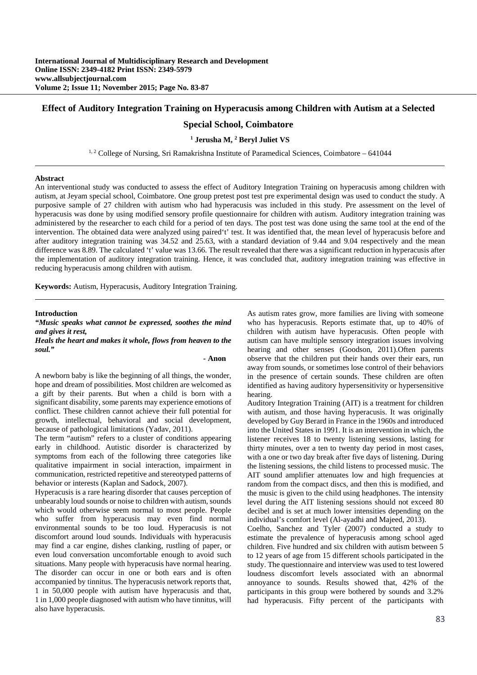### **Effect of Auditory Integration Training on Hyperacusis among Children with Autism at a Selected**

# **Special School, Coimbatore**

#### <sup>1</sup> Jerusha M, <sup>2</sup> Beryl Juliet VS

<sup>1, 2</sup> College of Nursing, Sri Ramakrishna Institute of Paramedical Sciences, Coimbatore – 641044

#### **Abstract**

An interventional study was conducted to assess the effect of Auditory Integration Training on hyperacusis among children with autism, at Jeyam special school, Coimbatore. One group pretest post test pre experimental design was used to conduct the study. A purposive sample of 27 children with autism who had hyperacusis was included in this study. Pre assessment on the level of hyperacusis was done by using modified sensory profile questionnaire for children with autism. Auditory integration training was administered by the researcher to each child for a period of ten days. The post test was done using the same tool at the end of the intervention. The obtained data were analyzed using paired't' test. It was identified that, the mean level of hyperacusis before and after auditory integration training was 34.52 and 25.63, with a standard deviation of 9.44 and 9.04 respectively and the mean difference was 8.89. The calculated 't' value was 13.66. The result revealed that there was a significant reduction in hyperacusis after the implementation of auditory integration training. Hence, it was concluded that, auditory integration training was effective in reducing hyperacusis among children with autism.

**Keywords:** Autism, Hyperacusis, Auditory Integration Training.

**Introduction** 

# *"Music speaks what cannot be expressed, soothes the mind and gives it rest,*

*Heals the heart and makes it whole, flows from heaven to the soul."* 

#### *-* **Anon**

A newborn baby is like the beginning of all things, the wonder, hope and dream of possibilities. Most children are welcomed as a gift by their parents. But when a child is born with a significant disability, some parents may experience emotions of conflict. These children cannot achieve their full potential for growth, intellectual, behavioral and social development, because of pathological limitations (Yadav, 2011).

The term "autism" refers to a cluster of conditions appearing early in childhood. Autistic disorder is characterized by symptoms from each of the following three categories like qualitative impairment in social interaction, impairment in communication, restricted repetitive and stereotyped patterns of behavior or interests (Kaplan and Sadock, 2007).

Hyperacusis is a rare hearing disorder that causes perception of unbearably loud sounds or noise to children with autism, sounds which would otherwise seem normal to most people. People who suffer from hyperacusis may even find normal environmental sounds to be too loud. Hyperacusis is not discomfort around loud sounds. Individuals with hyperacusis may find a car engine, dishes clanking, rustling of paper, or even loud conversation uncomfortable enough to avoid such situations. Many people with hyperacusis have normal hearing. The disorder can occur in one or both ears and is often accompanied by tinnitus. The hyperacusis network reports that, 1 in 50,000 people with autism have hyperacusis and that, 1 in 1,000 people diagnosed with autism who have tinnitus, will also have hyperacusis.

As autism rates grow, more families are living with someone who has hyperacusis. Reports estimate that, up to 40% of children with autism have hyperacusis. Often people with autism can have multiple sensory integration issues involving hearing and other senses (Goodson, 2011).Often parents observe that the children put their hands over their ears, run away from sounds, or sometimes lose control of their behaviors in the presence of certain sounds. These children are often identified as having auditory hypersensitivity or hypersensitive hearing.

Auditory Integration Training (AIT) is a treatment for children with autism, and those having hyperacusis. It was originally developed by Guy Berard in France in the 1960s and introduced into the United States in 1991. It is an intervention in which, the listener receives 18 to twenty listening sessions, lasting for thirty minutes, over a ten to twenty day period in most cases, with a one or two day break after five days of listening. During the listening sessions, the child listens to processed music. The AIT sound amplifier attenuates low and high frequencies at random from the compact discs, and then this is modified, and the music is given to the child using headphones. The intensity level during the AIT listening sessions should not exceed 80 decibel and is set at much lower intensities depending on the individual's comfort level (Al-ayadhi and Majeed, 2013).

Coelho, Sanchez and Tyler (2007) conducted a study to estimate the prevalence of hyperacusis among school aged children. Five hundred and six children with autism between 5 to 12 years of age from 15 different schools participated in the study. The questionnaire and interview was used to test lowered loudness discomfort levels associated with an abnormal annoyance to sounds. Results showed that, 42% of the participants in this group were bothered by sounds and 3.2% had hyperacusis. Fifty percent of the participants with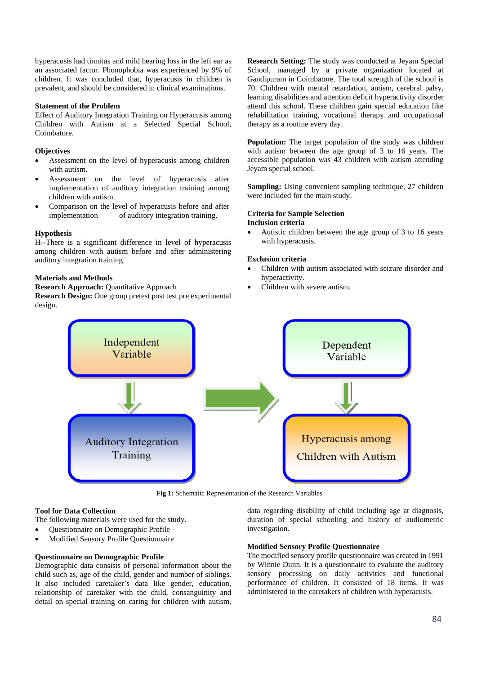hyperacusis had tinnitus and mild hearing loss in the left ear as an associated factor. Phonophobia was experienced by 9% of children. It was concluded that, hyperacusis in children is prevalent, and should be considered in clinical examinations.

### **Statement of the Problem**

Effect of Auditory Integration Training on Hyperacusis among Children with Autism at a Selected Special School, Coimbatore.

### **Objectives**

- Assessment on the level of hyperacusis among children with autism.
- Assessment on the level of hyperacusis after implementation of auditory integration training among children with autism.
- Comparison on the level of hyperacusis before and after implementation of auditory integration training.

# **Hypothesis**

H1-There is a significant difference in level of hyperacusis among children with autism before and after administering auditory integration training.

# **Materials and Methods**

**Research Approach: Ouantitative Approach** 

**Research Design:** One group pretest post test pre experimental design.

**Research Setting:** The study was conducted at Jeyam Special School, managed by a private organization located at Gandipuram in Coimbatore. The total strength of the school is 70. Children with mental retardation, autism, cerebral palsy, learning disabilities and attention deficit hyperactivity disorder attend this school. These children gain special education like rehabilitation training, vocational therapy and occupational therapy as a routine every day.

**Population:** The target population of the study was children with autism between the age group of 3 to 16 years. The accessible population was 43 children with autism attending Jeyam special school.

**Sampling:** Using convenient sampling technique, 27 children were included for the main study.

### **Criteria for Sample Selection Inclusion criteria**

 Autistic children between the age group of 3 to 16 years with hyperacusis.

# **Exclusion criteria**

- Children with autism associated with seizure disorder and hyperactivity.
- Children with severe autism.



**Fig 1:** Schematic Representation of the Research Variables

# **Tool for Data Collection**

The following materials were used for the study.

- Questionnaire on Demographic Profile
- Modified Sensory Profile Questionnaire

# **Questionnaire on Demographic Profile**

Demographic data consists of personal information about the child such as, age of the child, gender and number of siblings. It also included caretaker's data like gender, education, relationship of caretaker with the child, consanguinity and detail on special training on caring for children with autism,

data regarding disability of child including age at diagnosis, duration of special schooling and history of audiometric investigation.

# **Modified Sensory Profile Questionnaire**

The modified sensory profile questionnaire was created in 1991 by Winnie Dunn. It is a questionnaire to evaluate the auditory sensory processing on daily activities and functional performance of children. It consisted of 18 items. It was administered to the caretakers of children with hyperacusis.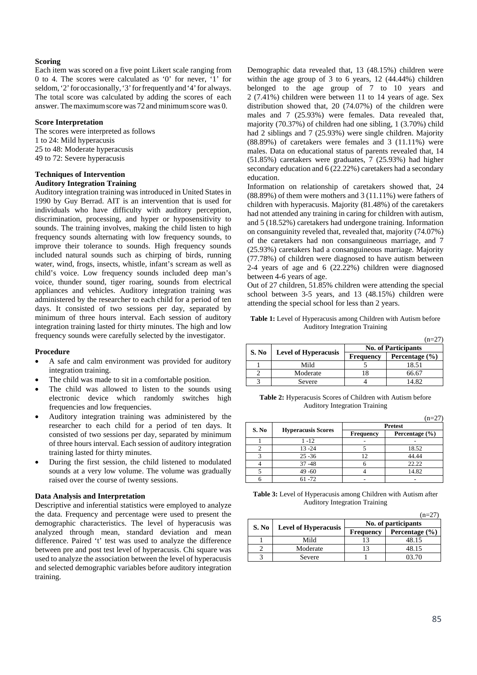#### **Scoring**

Each item was scored on a five point Likert scale ranging from 0 to 4. The scores were calculated as '0' for never, '1' for seldom, '2' for occasionally, '3' for frequently and '4' for always. The total score was calculated by adding the scores of each answer. The maximum score was  $72$  and minimum score was  $0.$ 

#### **Score Interpretation**

The scores were interpreted as follows 1 to 24: Mild hyperacusis 25 to 48: Moderate hyperacusis 49 to 72: Severe hyperacusis

# **Techniques of Intervention Auditory Integration Training**

Auditory integration training was introduced in United States in 1990 by Guy Berrad. AIT is an intervention that is used for individuals who have difficulty with auditory perception, discrimination, processing, and hyper or hyposensitivity to sounds. The training involves, making the child listen to high frequency sounds alternating with low frequency sounds, to improve their tolerance to sounds. High frequency sounds included natural sounds such as chirping of birds, running water, wind, frogs, insects, whistle, infant's scream as well as child's voice. Low frequency sounds included deep man's voice, thunder sound, tiger roaring, sounds from electrical appliances and vehicles. Auditory integration training was administered by the researcher to each child for a period of ten days. It consisted of two sessions per day, separated by minimum of three hours interval. Each session of auditory integration training lasted for thirty minutes. The high and low frequency sounds were carefully selected by the investigator.

#### **Procedure**

- A safe and calm environment was provided for auditory integration training.
- The child was made to sit in a comfortable position.
- The child was allowed to listen to the sounds using electronic device which randomly switches high frequencies and low frequencies.
- Auditory integration training was administered by the researcher to each child for a period of ten days. It consisted of two sessions per day, separated by minimum of three hours interval. Each session of auditory integration training lasted for thirty minutes.
- During the first session, the child listened to modulated sounds at a very low volume. The volume was gradually raised over the course of twenty sessions.

### **Data Analysis and Interpretation**

Descriptive and inferential statistics were employed to analyze the data. Frequency and percentage were used to present the demographic characteristics. The level of hyperacusis was analyzed through mean, standard deviation and mean difference. Paired 't' test was used to analyze the difference between pre and post test level of hyperacusis. Chi square was used to analyze the association between the level of hyperacusis and selected demographic variables before auditory integration training.

Demographic data revealed that, 13 (48.15%) children were within the age group of 3 to 6 years, 12 (44.44%) children belonged to the age group of 7 to 10 years and 2 (7.41%) children were between 11 to 14 years of age. Sex distribution showed that, 20 (74.07%) of the children were males and 7 (25.93%) were females. Data revealed that, majority (70.37%) of children had one sibling, 1 (3.70%) child had 2 siblings and 7 (25.93%) were single children. Majority (88.89%) of caretakers were females and 3 (11.11%) were males. Data on educational status of parents revealed that, 14 (51.85%) caretakers were graduates, 7 (25.93%) had higher secondary education and 6 (22.22%) caretakers had a secondary education.

Information on relationship of caretakers showed that, 24  $(88.89%)$  of them were mothers and  $3(11.11%)$  were fathers of children with hyperacusis. Majority (81.48%) of the caretakers had not attended any training in caring for children with autism, and 5 (18.52%) caretakers had undergone training. Information on consanguinity reveled that, revealed that, majority (74.07%) of the caretakers had non consanguineous marriage, and 7 (25.93%) caretakers had a consanguineous marriage. Majority (77.78%) of children were diagnosed to have autism between 2-4 years of age and 6 (22.22%) children were diagnosed between 4-6 years of age.

Out of 27 children, 51.85% children were attending the special school between 3-5 years, and 13 (48.15%) children were attending the special school for less than 2 years.

**Table 1:** Level of Hyperacusis among Children with Autism before Auditory Integration Training

|       |                             |                            | $(n=27)$           |  |
|-------|-----------------------------|----------------------------|--------------------|--|
|       |                             | <b>No. of Participants</b> |                    |  |
| S. No | <b>Level of Hyperacusis</b> | <b>Frequency</b>           | Percentage $(\% )$ |  |
|       | Mild                        |                            | 18.51              |  |
|       | Moderate                    |                            | 66.67              |  |
|       | Severe                      |                            | 14 R 2             |  |

**Table 2:** Hyperacusis Scores of Children with Autism before Auditory Integration Training

|       |                           |                  | $(n=27)$           |  |  |
|-------|---------------------------|------------------|--------------------|--|--|
|       | <b>Hyperacusis Scores</b> | <b>Pretest</b>   |                    |  |  |
| S. No |                           | <b>Frequency</b> | Percentage $(\% )$ |  |  |
|       | $1 - 12$                  |                  |                    |  |  |
|       | $13 - 24$                 |                  | 18.52              |  |  |
|       | $25 - 36$                 | 12               | 44.44              |  |  |
|       | $37 - 48$                 |                  | 22.22              |  |  |
|       | $49 - 60$                 |                  | 14.82              |  |  |
|       | $61 - 72$                 |                  |                    |  |  |

**Table 3:** Level of Hyperacusis among Children with Autism after Auditory Integration Training

|       |                             |                     | $(n=27)$           |  |  |
|-------|-----------------------------|---------------------|--------------------|--|--|
|       |                             | No. of participants |                    |  |  |
| S. No | <b>Level of Hyperacusis</b> | <b>Frequency</b>    | Percentage $(\% )$ |  |  |
|       | Mild                        |                     | 48.15              |  |  |
|       | Moderate                    |                     | 48.15              |  |  |
|       | Severe                      |                     | 03.70              |  |  |

 $(1 - 27)$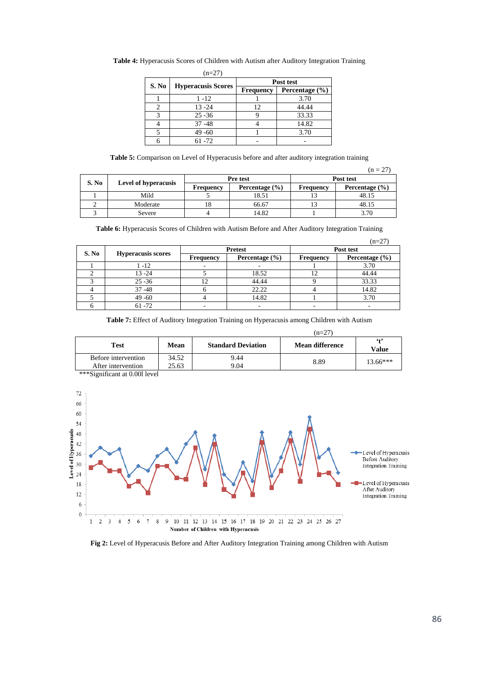|       | $(n=27)$                  |                  |                |  |  |
|-------|---------------------------|------------------|----------------|--|--|
|       | <b>Hyperacusis Scores</b> | Post test        |                |  |  |
| S. No |                           | <b>Frequency</b> | Percentage (%) |  |  |
|       | 1 -12                     |                  | 3.70           |  |  |
|       | $13 - 24$                 | 12               | 44.44          |  |  |
|       | $25 - 36$                 |                  | 33.33          |  |  |
|       | $37 - 48$                 |                  | 14.82          |  |  |
|       | $49 - 60$                 |                  | 3.70           |  |  |
|       | $61 - 72$                 |                  |                |  |  |

**Table 4:** Hyperacusis Scores of Children with Autism after Auditory Integration Training

**Table 5:** Comparison on Level of Hyperacusis before and after auditory integration training

|       |                             |           |                    |           | $(n = 27)$         |  |
|-------|-----------------------------|-----------|--------------------|-----------|--------------------|--|
| S. No | <b>Level of hyperacusis</b> |           | Pre test           | Post test |                    |  |
|       |                             | Frequency | Percentage $(\% )$ | Frequency | Percentage $(\% )$ |  |
|       | Mild                        |           | 18.51              |           | 48.15              |  |
|       | Moderate                    | 18        | 66.67              |           | 48.15              |  |
|       | Severe                      |           | 14.82              |           | 3.70               |  |

**Table 6:** Hyperacusis Scores of Children with Autism Before and After Auditory Integration Training

|       |                           |           |                    |                  | $(n=27)$           |  |
|-------|---------------------------|-----------|--------------------|------------------|--------------------|--|
| S. No | <b>Hyperacusis scores</b> |           | <b>Pretest</b>     | Post test        |                    |  |
|       |                           | Frequency | Percentage $(\% )$ | <b>Frequency</b> | Percentage $(\% )$ |  |
|       | 1 - 12                    |           |                    |                  | 3.70               |  |
|       | $13 - 24$                 |           | 18.52              |                  | 44.44              |  |
|       | $25 - 36$                 |           | 44.44              |                  | 33.33              |  |
|       | $37 - 48$                 |           | 22.22              |                  | 14.82              |  |
|       | $49 - 60$                 |           | 14.82              |                  | 3.70               |  |
|       | $61 - 72$                 |           |                    |                  |                    |  |

**Table 7:** Effect of Auditory Integration Training on Hyperacusis among Children with Autism

|                     |       |                           | $(n=27)$               |                   |
|---------------------|-------|---------------------------|------------------------|-------------------|
| Test                | Mean  | <b>Standard Deviation</b> | <b>Mean difference</b> | $^{6+2}$<br>Value |
| Before intervention | 34.52 | 9.44                      | 8.89                   | $13.66***$        |
| After intervention  | 25.63 | 9.04                      |                        |                   |

\*\*\*Significant at 0.00l level